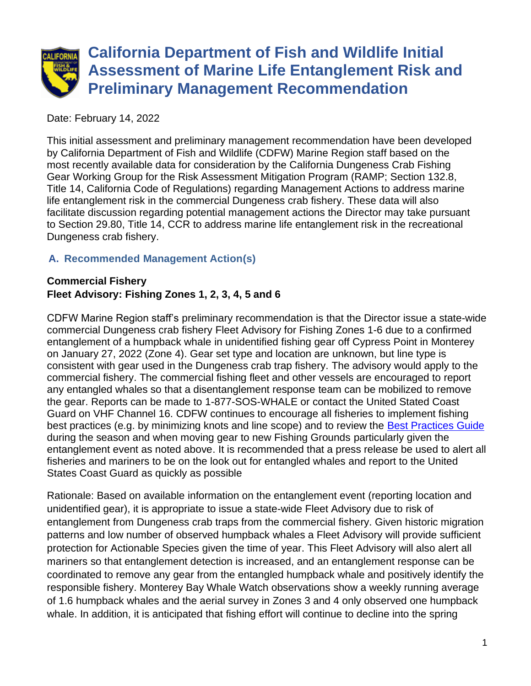

Date: February 14, 2022

This initial assessment and preliminary management recommendation have been developed by California Department of Fish and Wildlife (CDFW) Marine Region staff based on the most recently available data for consideration by the California Dungeness Crab Fishing Gear Working Group for the Risk Assessment Mitigation Program (RAMP; Section 132.8, Title 14, California Code of Regulations) regarding Management Actions to address marine life entanglement risk in the commercial Dungeness crab fishery. These data will also facilitate discussion regarding potential management actions the Director may take pursuant to Section 29.80, Title 14, CCR to address marine life entanglement risk in the recreational Dungeness crab fishery.

## **A. Recommended Management Action(s)**

#### **Commercial Fishery Fleet Advisory: Fishing Zones 1, 2, 3, 4, 5 and 6**

CDFW Marine Region staff's preliminary recommendation is that the Director issue a state-wide commercial Dungeness crab fishery Fleet Advisory for Fishing Zones 1-6 due to a confirmed entanglement of a humpback whale in unidentified fishing gear off Cypress Point in Monterey on January 27, 2022 (Zone 4). Gear set type and location are unknown, but line type is consistent with gear used in the Dungeness crab trap fishery. The advisory would apply to the commercial fishery. The commercial fishing fleet and other vessels are encouraged to report any entangled whales so that a disentanglement response team can be mobilized to remove the gear. Reports can be made to 1-877-SOS-WHALE or contact the United Stated Coast Guard on VHF Channel 16. CDFW continues to encourage all fisheries to implement fishing best practices (e.g. by minimizing knots and line scope) and to review the [Best Practices Guide](https://nrm.dfg.ca.gov/FileHandler.ashx?DocumentID=195428&inline) during the season and when moving gear to new Fishing Grounds particularly given the entanglement event as noted above. It is recommended that a press release be used to alert all fisheries and mariners to be on the look out for entangled whales and report to the United States Coast Guard as quickly as possible

Rationale: Based on available information on the entanglement event (reporting location and unidentified gear), it is appropriate to issue a state-wide Fleet Advisory due to risk of entanglement from Dungeness crab traps from the commercial fishery. Given historic migration patterns and low number of observed humpback whales a Fleet Advisory will provide sufficient protection for Actionable Species given the time of year. This Fleet Advisory will also alert all mariners so that entanglement detection is increased, and an entanglement response can be coordinated to remove any gear from the entangled humpback whale and positively identify the responsible fishery. Monterey Bay Whale Watch observations show a weekly running average of 1.6 humpback whales and the aerial survey in Zones 3 and 4 only observed one humpback whale. In addition, it is anticipated that fishing effort will continue to decline into the spring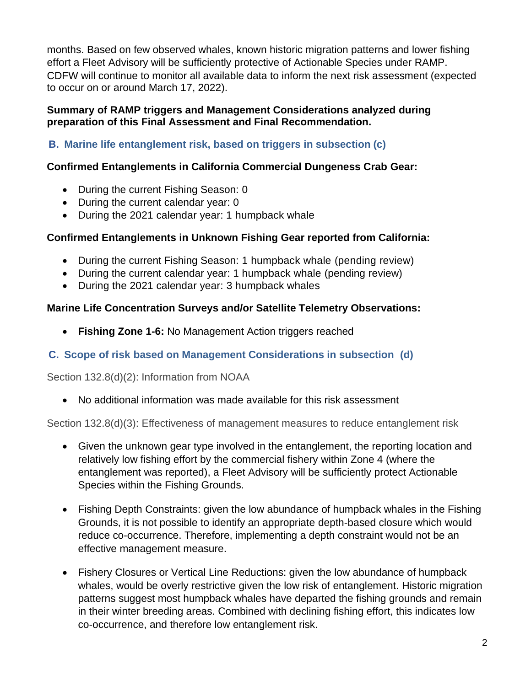months. Based on few observed whales, known historic migration patterns and lower fishing effort a Fleet Advisory will be sufficiently protective of Actionable Species under RAMP. CDFW will continue to monitor all available data to inform the next risk assessment (expected to occur on or around March 17, 2022).

#### **Summary of RAMP triggers and Management Considerations analyzed during preparation of this Final Assessment and Final Recommendation.**

**B. Marine life entanglement risk, based on triggers in subsection (c)**

## **Confirmed Entanglements in California Commercial Dungeness Crab Gear:**

- During the current Fishing Season: 0
- During the current calendar year: 0
- During the 2021 calendar year: 1 humpback whale

## **Confirmed Entanglements in Unknown Fishing Gear reported from California:**

- During the current Fishing Season: 1 humpback whale (pending review)
- During the current calendar year: 1 humpback whale (pending review)
- During the 2021 calendar year: 3 humpback whales

## **Marine Life Concentration Surveys and/or Satellite Telemetry Observations:**

• **Fishing Zone 1-6:** No Management Action triggers reached

# **C. Scope of risk based on Management Considerations in subsection (d)**

Section 132.8(d)(2): Information from NOAA

• No additional information was made available for this risk assessment

Section 132.8(d)(3): Effectiveness of management measures to reduce entanglement risk

- Given the unknown gear type involved in the entanglement, the reporting location and relatively low fishing effort by the commercial fishery within Zone 4 (where the entanglement was reported), a Fleet Advisory will be sufficiently protect Actionable Species within the Fishing Grounds.
- Fishing Depth Constraints: given the low abundance of humpback whales in the Fishing Grounds, it is not possible to identify an appropriate depth-based closure which would reduce co-occurrence. Therefore, implementing a depth constraint would not be an effective management measure.
- Fishery Closures or Vertical Line Reductions: given the low abundance of humpback whales, would be overly restrictive given the low risk of entanglement. Historic migration patterns suggest most humpback whales have departed the fishing grounds and remain in their winter breeding areas. Combined with declining fishing effort, this indicates low co-occurrence, and therefore low entanglement risk.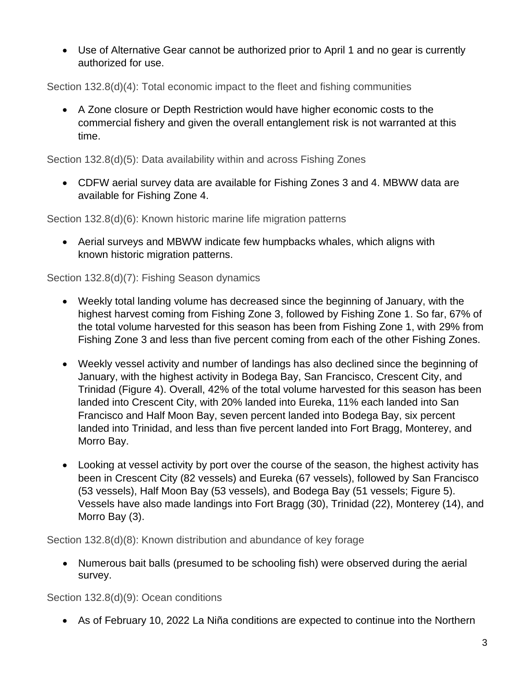• Use of Alternative Gear cannot be authorized prior to April 1 and no gear is currently authorized for use.

Section 132.8(d)(4): Total economic impact to the fleet and fishing communities

• A Zone closure or Depth Restriction would have higher economic costs to the commercial fishery and given the overall entanglement risk is not warranted at this time.

Section 132.8(d)(5): Data availability within and across Fishing Zones

• CDFW aerial survey data are available for Fishing Zones 3 and 4. MBWW data are available for Fishing Zone 4.

Section 132.8(d)(6): Known historic marine life migration patterns

• Aerial surveys and MBWW indicate few humpbacks whales, which aligns with known historic migration patterns.

Section 132.8(d)(7): Fishing Season dynamics

- Weekly total landing volume has decreased since the beginning of January, with the highest harvest coming from Fishing Zone 3, followed by Fishing Zone 1. So far, 67% of the total volume harvested for this season has been from Fishing Zone 1, with 29% from Fishing Zone 3 and less than five percent coming from each of the other Fishing Zones.
- Weekly vessel activity and number of landings has also declined since the beginning of January, with the highest activity in Bodega Bay, San Francisco, Crescent City, and Trinidad (Figure 4). Overall, 42% of the total volume harvested for this season has been landed into Crescent City, with 20% landed into Eureka, 11% each landed into San Francisco and Half Moon Bay, seven percent landed into Bodega Bay, six percent landed into Trinidad, and less than five percent landed into Fort Bragg, Monterey, and Morro Bay.
- Looking at vessel activity by port over the course of the season, the highest activity has been in Crescent City (82 vessels) and Eureka (67 vessels), followed by San Francisco (53 vessels), Half Moon Bay (53 vessels), and Bodega Bay (51 vessels; Figure 5). Vessels have also made landings into Fort Bragg (30), Trinidad (22), Monterey (14), and Morro Bay (3).

Section 132.8(d)(8): Known distribution and abundance of key forage

• Numerous bait balls (presumed to be schooling fish) were observed during the aerial survey.

Section 132.8(d)(9): Ocean conditions

• As of February 10, 2022 La Niña conditions are expected to continue into the Northern